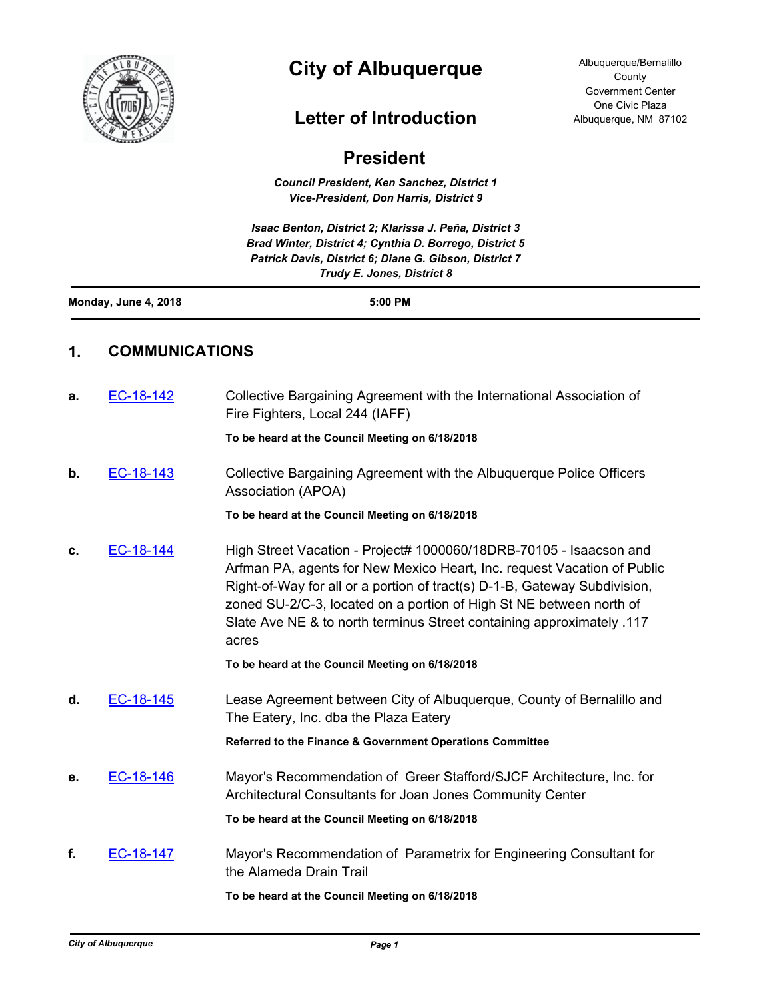

# **City of Albuquerque**

## **Letter of Introduction**

| <b>President</b> |  |
|------------------|--|
|                  |  |

*Council President, Ken Sanchez, District 1 Vice-President, Don Harris, District 9*

*Isaac Benton, District 2; Klarissa J. Peña, District 3 Brad Winter, District 4; Cynthia D. Borrego, District 5 Patrick Davis, District 6; Diane G. Gibson, District 7 Trudy E. Jones, District 8*

| Monday, June 4, 2018 | 5:00 PM |
|----------------------|---------|
|                      |         |

#### **1. COMMUNICATIONS**

| a. | EC-18-142 | Collective Bargaining Agreement with the International Association of<br>Fire Fighters, Local 244 (IAFF)                                                                                                                                                                                                                                                                            |
|----|-----------|-------------------------------------------------------------------------------------------------------------------------------------------------------------------------------------------------------------------------------------------------------------------------------------------------------------------------------------------------------------------------------------|
|    |           | To be heard at the Council Meeting on 6/18/2018                                                                                                                                                                                                                                                                                                                                     |
| b. | EC-18-143 | Collective Bargaining Agreement with the Albuquerque Police Officers<br>Association (APOA)                                                                                                                                                                                                                                                                                          |
|    |           | To be heard at the Council Meeting on 6/18/2018                                                                                                                                                                                                                                                                                                                                     |
| c. | EC-18-144 | High Street Vacation - Project# 1000060/18DRB-70105 - Isaacson and<br>Arfman PA, agents for New Mexico Heart, Inc. request Vacation of Public<br>Right-of-Way for all or a portion of tract(s) D-1-B, Gateway Subdivision,<br>zoned SU-2/C-3, located on a portion of High St NE between north of<br>Slate Ave NE & to north terminus Street containing approximately .117<br>acres |
|    |           | To be heard at the Council Meeting on 6/18/2018                                                                                                                                                                                                                                                                                                                                     |
| d. | EC-18-145 | Lease Agreement between City of Albuquerque, County of Bernalillo and<br>The Eatery, Inc. dba the Plaza Eatery                                                                                                                                                                                                                                                                      |
|    |           | Referred to the Finance & Government Operations Committee                                                                                                                                                                                                                                                                                                                           |
| е. | EC-18-146 | Mayor's Recommendation of Greer Stafford/SJCF Architecture, Inc. for<br>Architectural Consultants for Joan Jones Community Center                                                                                                                                                                                                                                                   |
|    |           | To be heard at the Council Meeting on 6/18/2018                                                                                                                                                                                                                                                                                                                                     |
| f. | EC-18-147 | Mayor's Recommendation of Parametrix for Engineering Consultant for<br>the Alameda Drain Trail                                                                                                                                                                                                                                                                                      |
|    |           | To be heard at the Council Meeting on 6/18/2018                                                                                                                                                                                                                                                                                                                                     |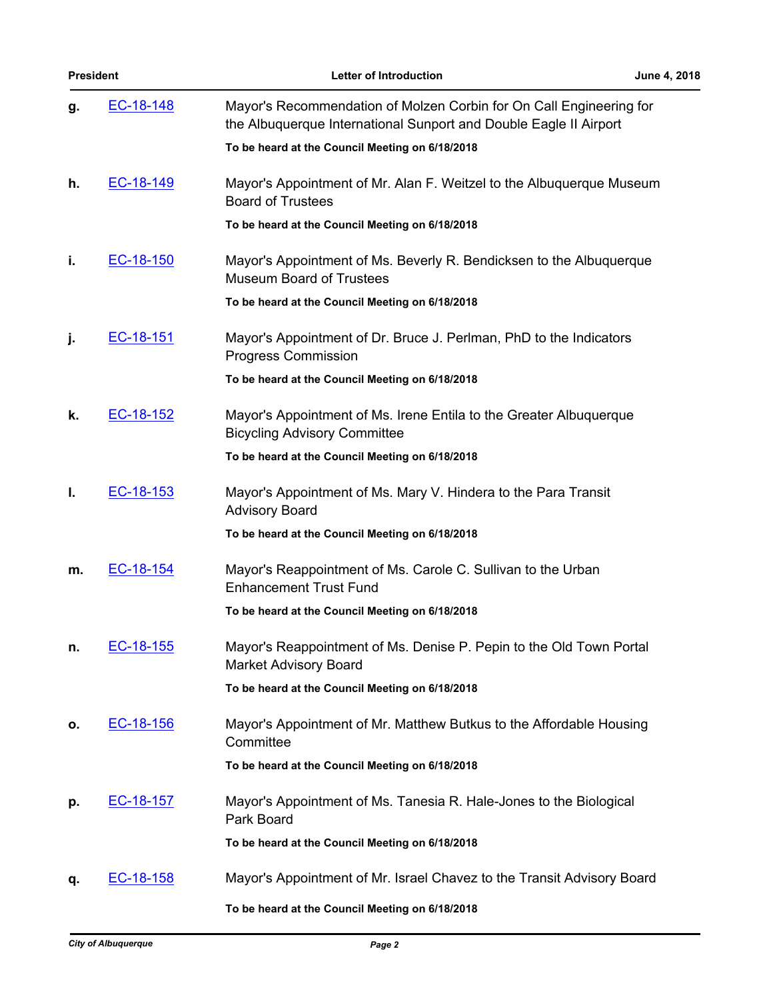| <b>President</b> |           | <b>Letter of Introduction</b>                                                                                                            | June 4, 2018 |
|------------------|-----------|------------------------------------------------------------------------------------------------------------------------------------------|--------------|
| g.               | EC-18-148 | Mayor's Recommendation of Molzen Corbin for On Call Engineering for<br>the Albuquerque International Sunport and Double Eagle II Airport |              |
|                  |           | To be heard at the Council Meeting on 6/18/2018                                                                                          |              |
| h.               | EC-18-149 | Mayor's Appointment of Mr. Alan F. Weitzel to the Albuquerque Museum<br><b>Board of Trustees</b>                                         |              |
|                  |           | To be heard at the Council Meeting on 6/18/2018                                                                                          |              |
| i.               | EC-18-150 | Mayor's Appointment of Ms. Beverly R. Bendicksen to the Albuquerque<br><b>Museum Board of Trustees</b>                                   |              |
|                  |           | To be heard at the Council Meeting on 6/18/2018                                                                                          |              |
| j.               | EC-18-151 | Mayor's Appointment of Dr. Bruce J. Perlman, PhD to the Indicators<br><b>Progress Commission</b>                                         |              |
|                  |           | To be heard at the Council Meeting on 6/18/2018                                                                                          |              |
| k.               | EC-18-152 | Mayor's Appointment of Ms. Irene Entila to the Greater Albuquerque<br><b>Bicycling Advisory Committee</b>                                |              |
|                  |           | To be heard at the Council Meeting on 6/18/2018                                                                                          |              |
| ı.               | EC-18-153 | Mayor's Appointment of Ms. Mary V. Hindera to the Para Transit<br><b>Advisory Board</b>                                                  |              |
|                  |           | To be heard at the Council Meeting on 6/18/2018                                                                                          |              |
| m.               | EC-18-154 | Mayor's Reappointment of Ms. Carole C. Sullivan to the Urban<br><b>Enhancement Trust Fund</b>                                            |              |
|                  |           | To be heard at the Council Meeting on 6/18/2018                                                                                          |              |
| n.               | EC-18-155 | Mayor's Reappointment of Ms. Denise P. Pepin to the Old Town Portal<br><b>Market Advisory Board</b>                                      |              |
|                  |           | To be heard at the Council Meeting on 6/18/2018                                                                                          |              |
| О.               | EC-18-156 | Mayor's Appointment of Mr. Matthew Butkus to the Affordable Housing<br>Committee                                                         |              |
|                  |           | To be heard at the Council Meeting on 6/18/2018                                                                                          |              |
| p.               | EC-18-157 | Mayor's Appointment of Ms. Tanesia R. Hale-Jones to the Biological<br>Park Board                                                         |              |
|                  |           | To be heard at the Council Meeting on 6/18/2018                                                                                          |              |
| q.               | EC-18-158 | Mayor's Appointment of Mr. Israel Chavez to the Transit Advisory Board                                                                   |              |
|                  |           | To be heard at the Council Meeting on 6/18/2018                                                                                          |              |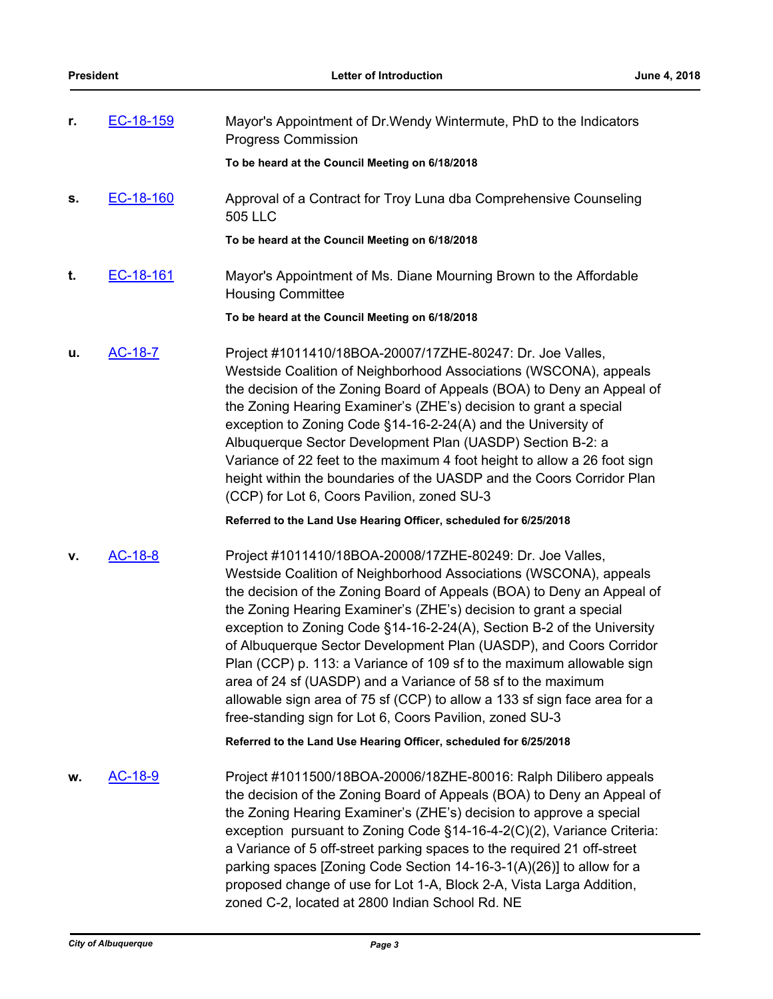| r. | EC-18-159 | Mayor's Appointment of Dr. Wendy Wintermute, PhD to the Indicators<br><b>Progress Commission</b>                                                                                                                                                                                                                                                                                                                                                                                                                                                                                                                                                                                                                |
|----|-----------|-----------------------------------------------------------------------------------------------------------------------------------------------------------------------------------------------------------------------------------------------------------------------------------------------------------------------------------------------------------------------------------------------------------------------------------------------------------------------------------------------------------------------------------------------------------------------------------------------------------------------------------------------------------------------------------------------------------------|
|    |           | To be heard at the Council Meeting on 6/18/2018                                                                                                                                                                                                                                                                                                                                                                                                                                                                                                                                                                                                                                                                 |
| S. | EC-18-160 | Approval of a Contract for Troy Luna dba Comprehensive Counseling<br>505 LLC                                                                                                                                                                                                                                                                                                                                                                                                                                                                                                                                                                                                                                    |
|    |           | To be heard at the Council Meeting on 6/18/2018                                                                                                                                                                                                                                                                                                                                                                                                                                                                                                                                                                                                                                                                 |
| t. | EC-18-161 | Mayor's Appointment of Ms. Diane Mourning Brown to the Affordable<br><b>Housing Committee</b>                                                                                                                                                                                                                                                                                                                                                                                                                                                                                                                                                                                                                   |
|    |           | To be heard at the Council Meeting on 6/18/2018                                                                                                                                                                                                                                                                                                                                                                                                                                                                                                                                                                                                                                                                 |
| u. | AC-18-7   | Project #1011410/18BOA-20007/17ZHE-80247: Dr. Joe Valles,<br>Westside Coalition of Neighborhood Associations (WSCONA), appeals<br>the decision of the Zoning Board of Appeals (BOA) to Deny an Appeal of<br>the Zoning Hearing Examiner's (ZHE's) decision to grant a special<br>exception to Zoning Code §14-16-2-24(A) and the University of<br>Albuquerque Sector Development Plan (UASDP) Section B-2: a<br>Variance of 22 feet to the maximum 4 foot height to allow a 26 foot sign<br>height within the boundaries of the UASDP and the Coors Corridor Plan<br>(CCP) for Lot 6, Coors Pavilion, zoned SU-3                                                                                                |
|    |           | Referred to the Land Use Hearing Officer, scheduled for 6/25/2018                                                                                                                                                                                                                                                                                                                                                                                                                                                                                                                                                                                                                                               |
| v. | AC-18-8   | Project #1011410/18BOA-20008/17ZHE-80249: Dr. Joe Valles,<br>Westside Coalition of Neighborhood Associations (WSCONA), appeals<br>the decision of the Zoning Board of Appeals (BOA) to Deny an Appeal of<br>the Zoning Hearing Examiner's (ZHE's) decision to grant a special<br>exception to Zoning Code §14-16-2-24(A), Section B-2 of the University<br>of Albuquerque Sector Development Plan (UASDP), and Coors Corridor<br>Plan (CCP) p. 113: a Variance of 109 sf to the maximum allowable sign<br>area of 24 sf (UASDP) and a Variance of 58 sf to the maximum<br>allowable sign area of 75 sf (CCP) to allow a 133 sf sign face area for a<br>free-standing sign for Lot 6, Coors Pavilion, zoned SU-3 |
|    |           | Referred to the Land Use Hearing Officer, scheduled for 6/25/2018                                                                                                                                                                                                                                                                                                                                                                                                                                                                                                                                                                                                                                               |
| w. | AC-18-9   | Project #1011500/18BOA-20006/18ZHE-80016: Ralph Dilibero appeals<br>the decision of the Zoning Board of Appeals (BOA) to Deny an Appeal of<br>the Zoning Hearing Examiner's (ZHE's) decision to approve a special<br>exception pursuant to Zoning Code §14-16-4-2(C)(2), Variance Criteria:<br>a Variance of 5 off-street parking spaces to the required 21 off-street<br>parking spaces [Zoning Code Section 14-16-3-1(A)(26)] to allow for a<br>proposed change of use for Lot 1-A, Block 2-A, Vista Larga Addition,<br>zoned C-2, located at 2800 Indian School Rd. NE                                                                                                                                       |